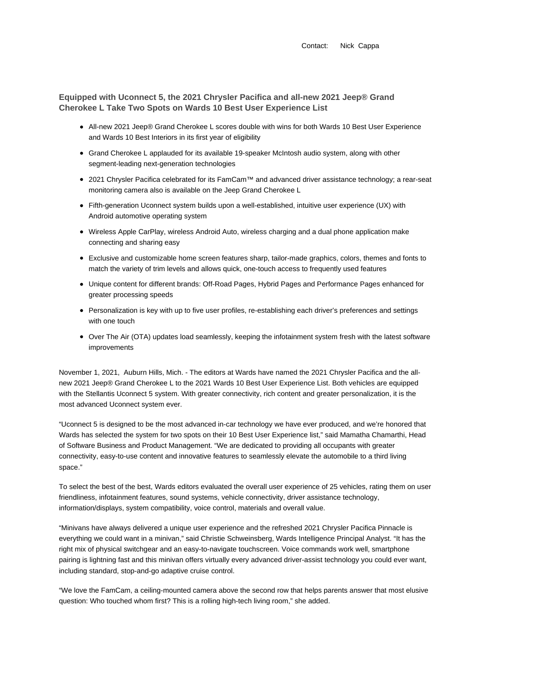Contact: Nick Cappa

**Equipped with Uconnect 5, the 2021 Chrysler Pacifica and all-new 2021 Jeep® Grand Cherokee L Take Two Spots on Wards 10 Best User Experience List**

- All-new 2021 Jeep® Grand Cherokee L scores double with wins for both Wards 10 Best User Experience and Wards 10 Best Interiors in its first year of eligibility
- Grand Cherokee L applauded for its available 19-speaker McIntosh audio system, along with other segment-leading next-generation technologies
- 2021 Chrysler Pacifica celebrated for its FamCam™ and advanced driver assistance technology; a rear-seat monitoring camera also is available on the Jeep Grand Cherokee L
- Fifth-generation Uconnect system builds upon a well-established, intuitive user experience (UX) with Android automotive operating system
- Wireless Apple CarPlay, wireless Android Auto, wireless charging and a dual phone application make connecting and sharing easy
- Exclusive and customizable home screen features sharp, tailor-made graphics, colors, themes and fonts to match the variety of trim levels and allows quick, one-touch access to frequently used features
- Unique content for different brands: Off-Road Pages, Hybrid Pages and Performance Pages enhanced for greater processing speeds
- Personalization is key with up to five user profiles, re-establishing each driver's preferences and settings with one touch
- Over The Air (OTA) updates load seamlessly, keeping the infotainment system fresh with the latest software improvements

November 1, 2021, Auburn Hills, Mich. - The editors at Wards have named the 2021 Chrysler Pacifica and the allnew 2021 Jeep® Grand Cherokee L to the 2021 Wards 10 Best User Experience List. Both vehicles are equipped with the Stellantis Uconnect 5 system. With greater connectivity, rich content and greater personalization, it is the most advanced Uconnect system ever.

"Uconnect 5 is designed to be the most advanced in-car technology we have ever produced, and we're honored that Wards has selected the system for two spots on their 10 Best User Experience list," said Mamatha Chamarthi, Head of Software Business and Product Management. "We are dedicated to providing all occupants with greater connectivity, easy-to-use content and innovative features to seamlessly elevate the automobile to a third living space."

To select the best of the best, Wards editors evaluated the overall user experience of 25 vehicles, rating them on user friendliness, infotainment features, sound systems, vehicle connectivity, driver assistance technology, information/displays, system compatibility, voice control, materials and overall value.

"Minivans have always delivered a unique user experience and the refreshed 2021 Chrysler Pacifica Pinnacle is everything we could want in a minivan," said Christie Schweinsberg, Wards Intelligence Principal Analyst. "It has the right mix of physical switchgear and an easy-to-navigate touchscreen. Voice commands work well, smartphone pairing is lightning fast and this minivan offers virtually every advanced driver-assist technology you could ever want, including standard, stop-and-go adaptive cruise control.

"We love the FamCam, a ceiling-mounted camera above the second row that helps parents answer that most elusive question: Who touched whom first? This is a rolling high-tech living room," she added.